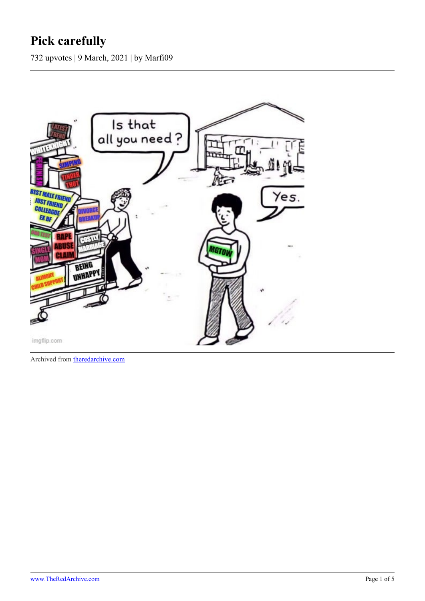## **Pick carefully**

732 upvotes | 9 March, 2021 | by Marfi09



Archived from [theredarchive.com](https://theredarchive.com/r/MGTOW/pick-carefully.779672)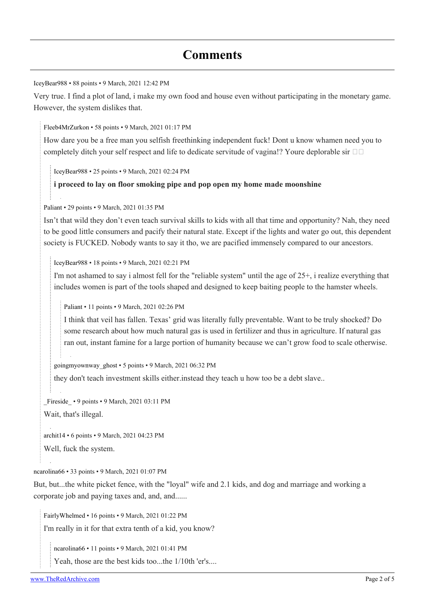## **Comments**

[IceyBear988](https://old.reddit.com/user/IceyBear988) • 88 points • 9 March, 2021 12:42 PM

Very true. I find a plot of land, i make my own food and house even without participating in the monetary game. However, the system dislikes that.

[Fleeb4MrZurkon](https://old.reddit.com/user/Fleeb4MrZurkon) • 58 points • 9 March, 2021 01:17 PM

How dare you be a free man you selfish freethinking independent fuck! Dont u know whamen need you to completely ditch your self respect and life to dedicate servitude of vagina!? Youre deplorable sir  $\square \square$ 

[IceyBear988](https://old.reddit.com/user/IceyBear988) • 25 points • 9 March, 2021 02:24 PM

## **i proceed to lay on floor smoking pipe and pop open my home made moonshine**

[Paliant](https://old.reddit.com/user/Paliant) • 29 points • 9 March, 2021 01:35 PM

Isn't that wild they don't even teach survival skills to kids with all that time and opportunity? Nah, they need to be good little consumers and pacify their natural state. Except if the lights and water go out, this dependent society is FUCKED. Nobody wants to say it tho, we are pacified immensely compared to our ancestors.

[IceyBear988](https://old.reddit.com/user/IceyBear988) • 18 points • 9 March, 2021 02:21 PM

I'm not ashamed to say i almost fell for the "reliable system" until the age of 25+, i realize everything that includes women is part of the tools shaped and designed to keep baiting people to the hamster wheels.

[Paliant](https://old.reddit.com/user/Paliant) • 11 points • 9 March, 2021 02:26 PM

I think that veil has fallen. Texas' grid was literally fully preventable. Want to be truly shocked? Do some research about how much natural gas is used in fertilizer and thus in agriculture. If natural gas ran out, instant famine for a large portion of humanity because we can't grow food to scale otherwise.

[goingmyownway\\_ghost](https://old.reddit.com/user/goingmyownway_ghost) • 5 points • 9 March, 2021 06:32 PM

they don't teach investment skills either.instead they teach u how too be a debt slave..

[\\_Fireside\\_](https://old.reddit.com/user/_Fireside_) • 9 points • 9 March, 2021 03:11 PM

Wait, that's illegal.

[archit14](https://old.reddit.com/user/archit14) • 6 points • 9 March, 2021 04:23 PM

Well, fuck the system.

[ncarolina66](https://old.reddit.com/user/ncarolina66) • 33 points • 9 March, 2021 01:07 PM

But, but...the white picket fence, with the "loyal" wife and 2.1 kids, and dog and marriage and working a corporate job and paying taxes and, and, and......

[FairlyWhelmed](https://old.reddit.com/user/FairlyWhelmed) • 16 points • 9 March, 2021 01:22 PM I'm really in it for that extra tenth of a kid, you know?

[ncarolina66](https://old.reddit.com/user/ncarolina66) • 11 points • 9 March, 2021 01:41 PM

Yeah, those are the best kids too...the 1/10th 'er's....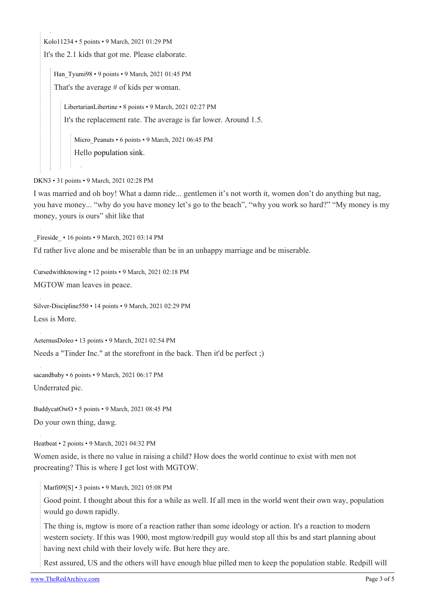[Kolo11234](https://old.reddit.com/user/Kolo11234) • 5 points • 9 March, 2021 01:29 PM

It's the 2.1 kids that got me. Please elaborate.

[Han\\_Tyumi98](https://old.reddit.com/user/Han_Tyumi98) • 9 points • 9 March, 2021 01:45 PM

That's the average # of kids per woman.

[LibertarianLibertine](https://old.reddit.com/user/LibertarianLibertine) • 8 points • 9 March, 2021 02:27 PM

It's the replacement rate. The average is far lower. Around 1.5.

Micro Peanuts • 6 points • 9 March, 2021 06:45 PM Hello [population sink](https://en.wikipedia.org/wiki/Source%E2%80%93sink_dynamics).

[DKN3](https://old.reddit.com/user/DKN3) • 31 points • 9 March, 2021 02:28 PM

I was married and oh boy! What a damn ride... gentlemen it's not worth it, women don't do anything but nag, you have money... "why do you have money let's go to the beach", "why you work so hard?" "My money is my money, yours is ours" shit like that

[\\_Fireside\\_](https://old.reddit.com/user/_Fireside_) • 16 points • 9 March, 2021 03:14 PM

I'd rather live alone and be miserable than be in an unhappy marriage and be miserable.

[Cursedwithknowing](https://old.reddit.com/user/Cursedwithknowing) • 12 points • 9 March, 2021 02:18 PM MGTOW man leaves in peace.

[Silver-Discipline550](https://old.reddit.com/user/Silver-Discipline550) • 14 points • 9 March, 2021 02:29 PM Less is More.

[AeternusDoleo](https://old.reddit.com/user/AeternusDoleo) • 13 points • 9 March, 2021 02:54 PM

Needs a "Tinder Inc." at the storefront in the back. Then it'd be perfect ;)

[sacandbaby](https://old.reddit.com/user/sacandbaby) • 6 points • 9 March, 2021 06:17 PM

Underrated pic.

[BuddycatOwO](https://old.reddit.com/user/BuddycatOwO) • 5 points • 9 March, 2021 08:45 PM

Do your own thing, dawg.

[Heatbeat](https://old.reddit.com/user/Heatbeat) • 2 points • 9 March, 2021 04:32 PM

Women aside, is there no value in raising a child? How does the world continue to exist with men not procreating? This is where I get lost with MGTOW.

[Marfi09\[](https://old.reddit.com/user/Marfi09)[S\]](https://theredarchive.com/r/MGTOW/comments/m15dun/pick_carefully/) • 3 points • 9 March, 2021 05:08 PM

Good point. I thought about this for a while as well. If all men in the world went their own way, population would go down rapidly.

The thing is, mgtow is more of a reaction rather than some ideology or action. It's a reaction to modern western society. If this was 1900, most mgtow/redpill guy would stop all this bs and start planning about having next child with their lovely wife. But here they are.

Rest assured, US and the others will have enough blue pilled men to keep the population stable. Redpill will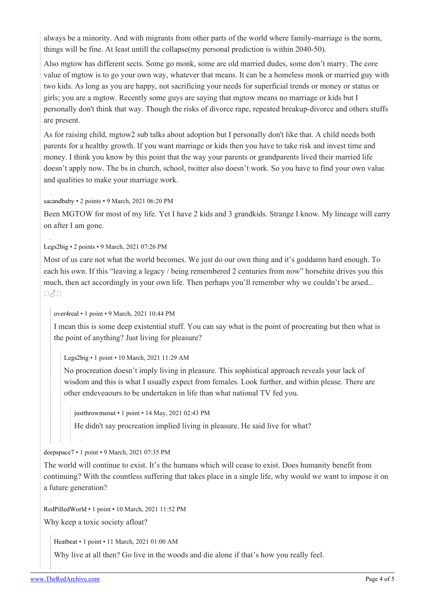always be a minority. And with migrants from other parts of the world where family-marriage is the norm, things will be fine. At least untill the collapse(my personal prediction is within 2040-50).

Also mgtow has different sects. Some go monk, some are old married dudes, some don't marry. The core value of mgtow is to go your own way, whatever that means. It can be a homeless monk or married guy with two kids. As long as you are happy, not sacrificing your needs for superficial trends or money or status or girls; you are a mgtow. Recently some guys are saying that mgtow means no marriage or kids but I personally don't think that way. Though the risks of divorce rape, repeated breakup-divorce and others stuffs are present.

As for raising child, mgtow2 sub talks about adoption but I personally don't like that. A child needs both parents for a healthy growth. If you want marriage or kids then you have to take risk and invest time and money. I think you know by this point that the way your parents or grandparents lived their married life doesn't apply now. The bs in church, school, twitter also doesn't work. So you have to find your own value and qualities to make your marriage work.

## [sacandbaby](https://old.reddit.com/user/sacandbaby) • 2 points • 9 March, 2021 06:20 PM

Been MGTOW for most of my life. Yet I have 2 kids and 3 grandkids. Strange I know. My lineage will carry on after I am gone.

[Legs2big](https://old.reddit.com/user/Legs2big) • 2 points • 9 March, 2021 07:26 PM

Most of us care not what the world becomes. We just do our own thing and it's goddamn hard enough. To each his own. If this "leaving a legacy / being remembered 2 centuries from now" horsehite drives you this much, then act accordingly in your own life. Then perhaps you'll remember why we couldn't be arsed...  $\Box$ 3 $\Box$ 

[over4real](https://old.reddit.com/user/over4real) • 1 point • 9 March, 2021 10:44 PM

I mean this is some deep existential stuff. You can say what is the point of procreating but then what is the point of anything? Just living for pleasure?

[Legs2big](https://old.reddit.com/user/Legs2big) • 1 point • 10 March, 2021 11:29 AM

No procreation doesn't imply living in pleasure. This sophistical approach reveals your lack of wisdom and this is what I usually expect from females. Look further, and within please. There are other endeveaours to be undertaken in life than what national TV fed you.

[justthrowmeout](https://old.reddit.com/user/justthrowmeout) • 1 point • 14 May, 2021 02:43 PM

He didn't say procreation implied living in pleasure. He said live for what?

[deepspace7](https://old.reddit.com/user/deepspace7) • 1 point • 9 March, 2021 07:35 PM

The world will continue to exist. It's the humans which will cease to exist. Does humanity benefit from continuing? With the countless suffering that takes place in a single life, why would we want to impose it on a future generation?

[RedPilledWorld](https://old.reddit.com/user/RedPilledWorld) • 1 point • 10 March, 2021 11:52 PM

Why keep a toxic society afloat?

[Heatbeat](https://old.reddit.com/user/Heatbeat) • 1 point • 11 March, 2021 01:00 AM

Why live at all then? Go live in the woods and die alone if that's how you really feel.